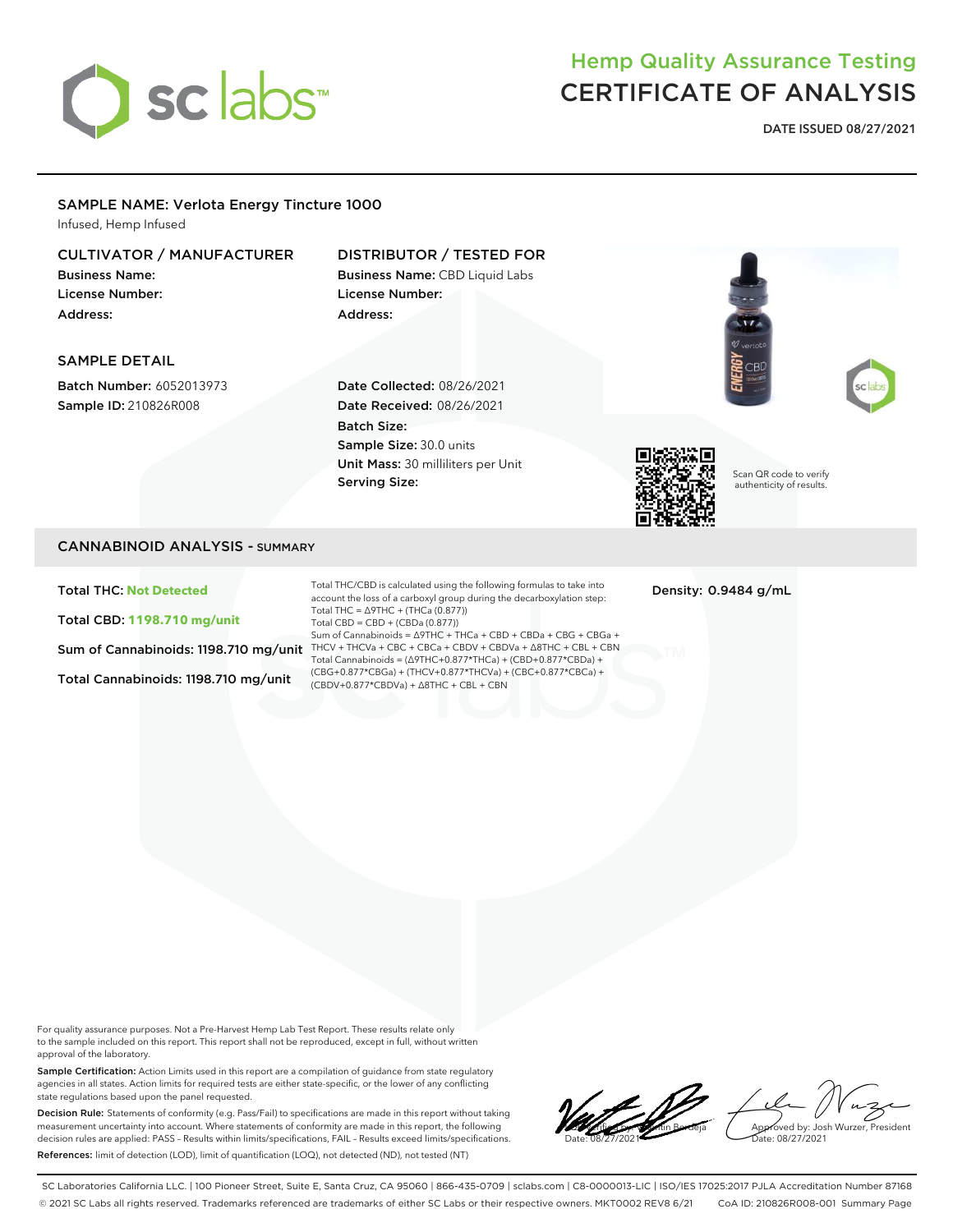

## Hemp Quality Assurance Testing CERTIFICATE OF ANALYSIS

DATE ISSUED 08/27/2021

## SAMPLE NAME: Verlota Energy Tincture 1000

Infused, Hemp Infused

#### CULTIVATOR / MANUFACTURER Business Name: License Number: Address: DISTRIBUTOR / TESTED FOR Business Name: CBD Liquid Labs License Number: Address:

## SAMPLE DETAIL

Batch Number: 6052013973 Sample ID: 210826R008

Date Collected: 08/26/2021 Date Received: 08/26/2021 Batch Size: Sample Size: 30.0 units Unit Mass: 30 milliliters per Unit Serving Size:



Scan QR code to verify authenticity of results.

## CANNABINOID ANALYSIS - SUMMARY

Total THC: **Not Detected**

Total CBD: **1198.710 mg/unit**

Total Cannabinoids: 1198.710 mg/unit

Sum of Cannabinoids: 1198.710 mg/unit THCV + THCVa + CBC + CBCa + CBDV + CBDVa +  $\Delta$ 8THC + CBL + CBN Total THC/CBD is calculated using the following formulas to take into account the loss of a carboxyl group during the decarboxylation step: Total THC =  $\triangle$ 9THC + (THCa (0.877)) Total CBD = CBD + (CBDa (0.877)) Sum of Cannabinoids = ∆9THC + THCa + CBD + CBDa + CBG + CBGa + Total Cannabinoids = (∆9THC+0.877\*THCa) + (CBD+0.877\*CBDa) + (CBG+0.877\*CBGa) + (THCV+0.877\*THCVa) + (CBC+0.877\*CBCa) + (CBDV+0.877\*CBDVa) + ∆8THC + CBL + CBN

Density: 0.9484 g/mL

For quality assurance purposes. Not a Pre-Harvest Hemp Lab Test Report. These results relate only to the sample included on this report. This report shall not be reproduced, except in full, without written approval of the laboratory.

Sample Certification: Action Limits used in this report are a compilation of guidance from state regulatory agencies in all states. Action limits for required tests are either state-specific, or the lower of any conflicting state regulations based upon the panel requested.

Decision Rule: Statements of conformity (e.g. Pass/Fail) to specifications are made in this report without taking measurement uncertainty into account. Where statements of conformity are made in this report, the following decision rules are applied: PASS – Results within limits/specifications, FAIL – Results exceed limits/specifications. References: limit of detection (LOD), limit of quantification (LOQ), not detected (ND), not tested (NT)

LQC verified by: Valentin Berdeja Date: 08/27/2021 Approved by: Josh Wurzer, President ate: 08/27/2021

SC Laboratories California LLC. | 100 Pioneer Street, Suite E, Santa Cruz, CA 95060 | 866-435-0709 | sclabs.com | C8-0000013-LIC | ISO/IES 17025:2017 PJLA Accreditation Number 87168 © 2021 SC Labs all rights reserved. Trademarks referenced are trademarks of either SC Labs or their respective owners. MKT0002 REV8 6/21 CoA ID: 210826R008-001 Summary Page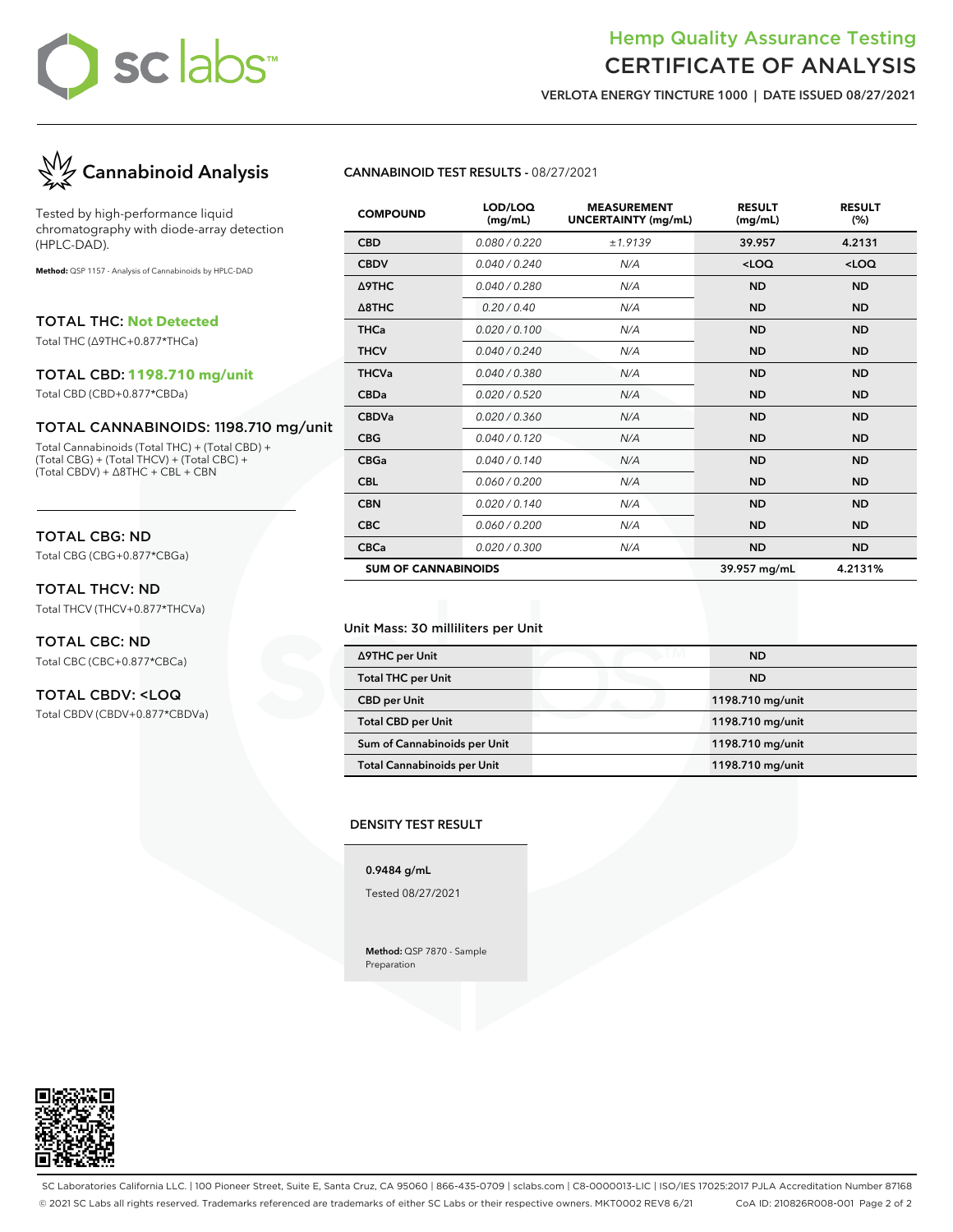# sclabs™

## Hemp Quality Assurance Testing CERTIFICATE OF ANALYSIS

VERLOTA ENERGY TINCTURE 1000 | DATE ISSUED 08/27/2021



Tested by high-performance liquid chromatography with diode-array detection (HPLC-DAD).

**Method:** QSP 1157 - Analysis of Cannabinoids by HPLC-DAD

TOTAL THC: **Not Detected**

Total THC (∆9THC+0.877\*THCa)

### TOTAL CBD: **1198.710 mg/unit**

Total CBD (CBD+0.877\*CBDa)

## TOTAL CANNABINOIDS: 1198.710 mg/unit

Total Cannabinoids (Total THC) + (Total CBD) + (Total CBG) + (Total THCV) + (Total CBC) + (Total CBDV) + ∆8THC + CBL + CBN

## TOTAL CBG: ND

Total CBG (CBG+0.877\*CBGa)

## TOTAL THCV: ND

Total THCV (THCV+0.877\*THCVa)

## TOTAL CBC: ND Total CBC (CBC+0.877\*CBCa)

## TOTAL CBDV: <LOQ

Total CBDV (CBDV+0.877\*CBDVa)

## CANNABINOID TEST RESULTS - 08/27/2021

| <b>COMPOUND</b>            | LOD/LOQ<br>(mg/mL) | <b>MEASUREMENT</b><br><b>UNCERTAINTY (mg/mL)</b> | <b>RESULT</b><br>(mg/mL) | <b>RESULT</b><br>(%) |
|----------------------------|--------------------|--------------------------------------------------|--------------------------|----------------------|
| <b>CBD</b>                 | 0.080 / 0.220      | ±1.9139                                          | 39.957                   | 4.2131               |
| <b>CBDV</b>                | 0.040 / 0.240      | N/A                                              | $<$ LOQ                  | $<$ LOQ              |
| Δ9THC                      | 0.040 / 0.280      | N/A                                              | <b>ND</b>                | <b>ND</b>            |
| $\triangle$ 8THC           | 0.20 / 0.40        | N/A                                              | <b>ND</b>                | <b>ND</b>            |
| <b>THCa</b>                | 0.020 / 0.100      | N/A                                              | <b>ND</b>                | <b>ND</b>            |
| <b>THCV</b>                | 0.040 / 0.240      | N/A                                              | <b>ND</b>                | <b>ND</b>            |
| <b>THCVa</b>               | 0.040 / 0.380      | N/A                                              | <b>ND</b>                | <b>ND</b>            |
| <b>CBDa</b>                | 0.020 / 0.520      | N/A                                              | <b>ND</b>                | <b>ND</b>            |
| <b>CBDVa</b>               | 0.020 / 0.360      | N/A                                              | <b>ND</b>                | <b>ND</b>            |
| <b>CBG</b>                 | 0.040 / 0.120      | N/A                                              | <b>ND</b>                | <b>ND</b>            |
| <b>CBGa</b>                | 0.040 / 0.140      | N/A                                              | <b>ND</b>                | <b>ND</b>            |
| <b>CBL</b>                 | 0.060 / 0.200      | N/A                                              | <b>ND</b>                | <b>ND</b>            |
| <b>CBN</b>                 | 0.020 / 0.140      | N/A                                              | <b>ND</b>                | <b>ND</b>            |
| <b>CBC</b>                 | 0.060 / 0.200      | N/A                                              | <b>ND</b>                | <b>ND</b>            |
| <b>CBCa</b>                | 0.020 / 0.300      | N/A                                              | <b>ND</b>                | <b>ND</b>            |
| <b>SUM OF CANNABINOIDS</b> |                    | 39.957 mg/mL                                     | 4.2131%                  |                      |

#### Unit Mass: 30 milliliters per Unit

| ∆9THC per Unit                     | <b>ND</b>        |
|------------------------------------|------------------|
| <b>Total THC per Unit</b>          | <b>ND</b>        |
| <b>CBD per Unit</b>                | 1198.710 mg/unit |
| <b>Total CBD per Unit</b>          | 1198.710 mg/unit |
| Sum of Cannabinoids per Unit       | 1198.710 mg/unit |
| <b>Total Cannabinoids per Unit</b> | 1198.710 mg/unit |

#### DENSITY TEST RESULT

## 0.9484 g/mL

Tested 08/27/2021

Method: QSP 7870 - Sample Preparation

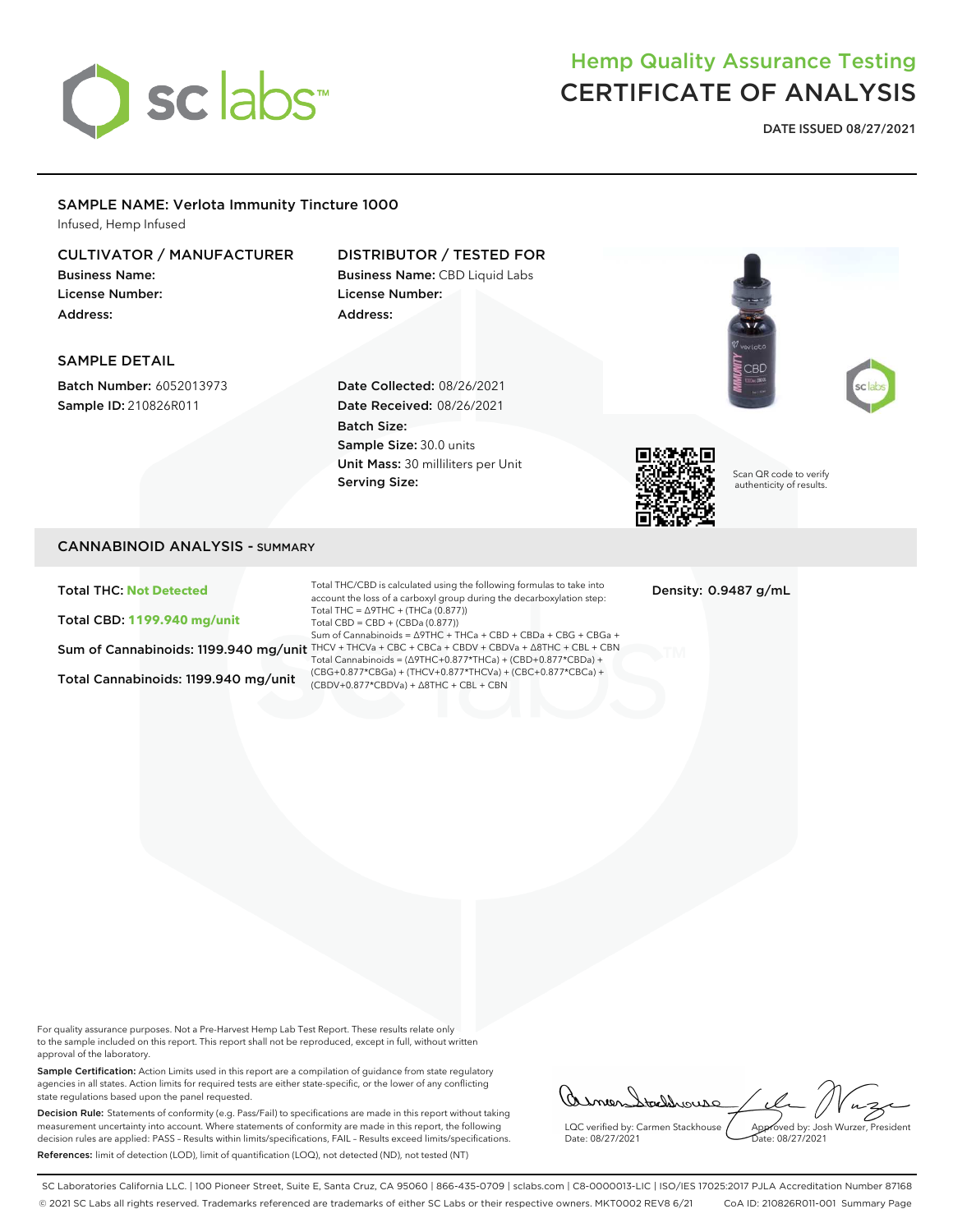

## Hemp Quality Assurance Testing CERTIFICATE OF ANALYSIS

DATE ISSUED 08/27/2021

## SAMPLE NAME: Verlota Immunity Tincture 1000

Infused, Hemp Infused

## CULTIVATOR / MANUFACTURER

Business Name: License Number: Address:

## DISTRIBUTOR / TESTED FOR Business Name: CBD Liquid Labs

License Number: Address:

## SAMPLE DETAIL

Batch Number: 6052013973 Sample ID: 210826R011

Date Collected: 08/26/2021 Date Received: 08/26/2021 Batch Size: Sample Size: 30.0 units Unit Mass: 30 milliliters per Unit Serving Size:



Scan QR code to verify authenticity of results.

CBD

## CANNABINOID ANALYSIS - SUMMARY

Total THC: **Not Detected**

Total CBD: **1199.940 mg/unit**

Total Cannabinoids: 1199.940 mg/unit

Sum of Cannabinoids: 1199.940 mg/unit THCV + THCVa + CBC + CBCa + CBDV + CBDVa + ∆8THC + CBL + CBN Total THC/CBD is calculated using the following formulas to take into account the loss of a carboxyl group during the decarboxylation step: Total THC =  $\triangle$ 9THC + (THCa (0.877)) Total CBD = CBD + (CBDa (0.877)) Sum of Cannabinoids = ∆9THC + THCa + CBD + CBDa + CBG + CBGa + Total Cannabinoids = (∆9THC+0.877\*THCa) + (CBD+0.877\*CBDa) + (CBG+0.877\*CBGa) + (THCV+0.877\*THCVa) + (CBC+0.877\*CBCa) + (CBDV+0.877\*CBDVa) + ∆8THC + CBL + CBN

Density: 0.9487 g/mL

For quality assurance purposes. Not a Pre-Harvest Hemp Lab Test Report. These results relate only to the sample included on this report. This report shall not be reproduced, except in full, without written approval of the laboratory.

Sample Certification: Action Limits used in this report are a compilation of guidance from state regulatory agencies in all states. Action limits for required tests are either state-specific, or the lower of any conflicting state regulations based upon the panel requested.

Decision Rule: Statements of conformity (e.g. Pass/Fail) to specifications are made in this report without taking measurement uncertainty into account. Where statements of conformity are made in this report, the following decision rules are applied: PASS – Results within limits/specifications, FAIL – Results exceed limits/specifications. References: limit of detection (LOD), limit of quantification (LOQ), not detected (ND), not tested (NT)

asmendtaldrouse LQC verified by: Carmen Stackhouse Approved by: Josh Wurzer, President Date: 08/27/2021 Date: 08/27/2021

SC Laboratories California LLC. | 100 Pioneer Street, Suite E, Santa Cruz, CA 95060 | 866-435-0709 | sclabs.com | C8-0000013-LIC | ISO/IES 17025:2017 PJLA Accreditation Number 87168 © 2021 SC Labs all rights reserved. Trademarks referenced are trademarks of either SC Labs or their respective owners. MKT0002 REV8 6/21 CoA ID: 210826R011-001 Summary Page